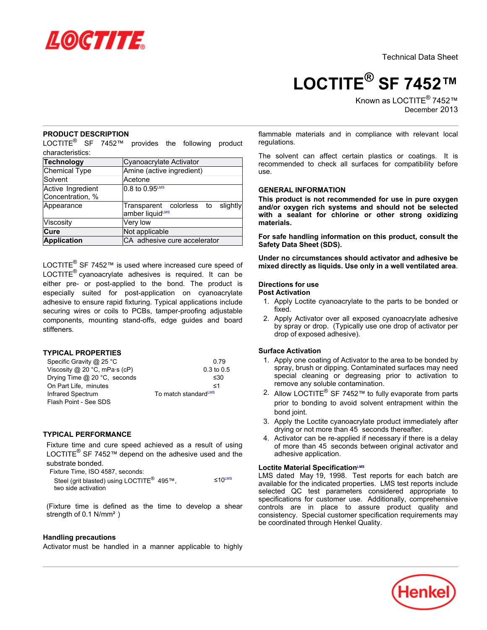

Technical Data Sheet

**LOCTITE® SF 7452™**

Known as LOCTITE<sup>®</sup> 7452™ December-2013

# **PRODUCT DESCRIPTION**

LOCTITE<sup>®</sup> SF 7452™ provides the following product characteristics:

| <b>Technology</b>                     | Cyanoacrylate Activator                              |  |
|---------------------------------------|------------------------------------------------------|--|
| Chemical Type                         | Amine (active ingredient)                            |  |
| Solvent                               | Acetone                                              |  |
| Active Ingredient<br>Concentration, % | 0.8 to 0.95 <sup>LMS</sup>                           |  |
| Appearance                            | Transparent colorless to slightly<br>amber liquidLMS |  |
| Viscosity                             | Very low                                             |  |
| Cure                                  | Not applicable                                       |  |
| <b>Application</b>                    | CA adhesive cure accelerator                         |  |

LOCTITE<sup>®</sup> SF 7452™ is used where increased cure speed of LOCTITE $^{\circledR}$  cyanoacrylate adhesives is required. It can be either pre- or post-applied to the bond. The product is especially suited for post-application on cyanoacrylate adhesive to ensure rapid fixturing. Typical applications include securing wires or coils to PCBs, tamper-proofing adjustable components, mounting stand-offs, edge guides and board stiffeners.

# **TYPICAL PROPERTIES**

| Specific Gravity @ 25 °C              | 0.79                             |  |
|---------------------------------------|----------------------------------|--|
| Viscosity @ 20 °C, mPa $\cdot$ s (cP) | $0.3$ to $0.5$                   |  |
| Drying Time @ 20 °C, seconds          | ≤30                              |  |
| On Part Life, minutes                 | ≺1                               |  |
| Infrared Spectrum                     | To match standard <sup>LMS</sup> |  |
| Flash Point - See SDS                 |                                  |  |

# **TYPICAL PERFORMANCE**

Fixture time and cure speed achieved as a result of using LOCTITE<sup>®</sup> SF 7452™ depend on the adhesive used and the substrate bonded.

| Fixture Time. ISO 4587, seconds:                                             |                    |
|------------------------------------------------------------------------------|--------------------|
| Steel (grit blasted) using LOCTITE <sup>®</sup> 495™.<br>two side activation | ≤10 <sup>LMS</sup> |

(Fixture time is defined as the time to develop a shear strength of 0.1 N/mm<sup>2</sup>)

### **Handling precautions**

Activator must be handled in a manner applicable to highly

flammable materials and in compliance with relevant local regulations.

The solvent can affect certain plastics or coatings. It is recommended to check all surfaces for compatibility before use.

# **GENERAL INFORMATION**

**This product is not recommended for use in pure oxygen and/or oxygen rich systems and should not be selected with a sealant for chlorine or other strong oxidizing materials.**

**For safe handling information on this product, consult the Safety Data Sheet (SDS).**

**Under no circumstances should activator and adhesive be mixed directly as liquids. Use only in a well ventilated area**.

### **Directions for use**

# **Post Activation**

- 1. Apply Loctite cyanoacrylate to the parts to be bonded or fixed.
- 2. Apply Activator over all exposed cyanoacrylate adhesive by spray or drop. (Typically use one drop of activator per drop of exposed adhesive).

# **Surface Activation**

- 1. Apply one coating of Activator to the area to be bonded by spray, brush or dipping. Contaminated surfaces may need special cleaning or degreasing prior to activation to remove any soluble contamination.
- 2. Allow LOCTITE® SF 7452™ to fully evaporate from parts prior to bonding to avoid solvent entrapment within the bond joint.
- 3. Apply the Loctite cyanoacrylate product immediately after drying or not more than 45 seconds thereafter.
- 4. Activator can be re-applied if necessary if there is a delay of more than 45- seconds between original activator and adhesive application.

# **Loctite Material SpecificationLMS**

LMS dated May 19, 1998. Test reports for each batch are available for the indicated properties. LMS test reports include selected QC test parameters considered appropriate to specifications for customer use. Additionally, comprehensive controls are in place to assure product quality and consistency. Special customer specification requirements may be coordinated through Henkel Quality.